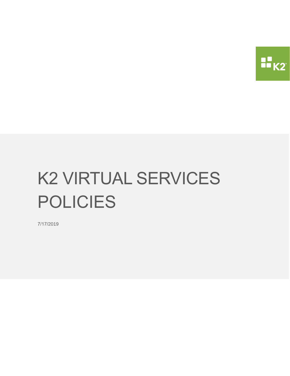

# K2 VIRTUAL SERVICES POLICIES

7/17/2019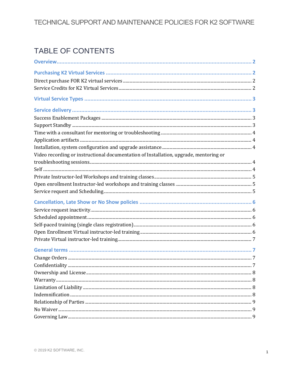# TABLE OF CONTENTS

| Video recording or instructional documentation of Installation, upgrade, mentoring or |  |
|---------------------------------------------------------------------------------------|--|
|                                                                                       |  |
|                                                                                       |  |
|                                                                                       |  |
|                                                                                       |  |
|                                                                                       |  |
|                                                                                       |  |
|                                                                                       |  |
|                                                                                       |  |
|                                                                                       |  |
|                                                                                       |  |
|                                                                                       |  |
|                                                                                       |  |
|                                                                                       |  |
|                                                                                       |  |
|                                                                                       |  |
|                                                                                       |  |
|                                                                                       |  |
|                                                                                       |  |
|                                                                                       |  |
|                                                                                       |  |
|                                                                                       |  |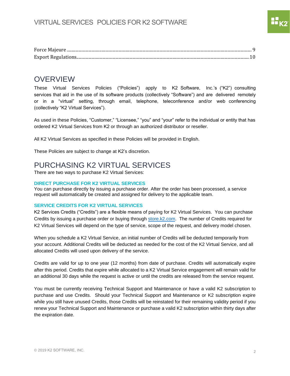# <span id="page-2-0"></span>**OVERVIEW**

These Virtual Services Policies ("Policies") apply to K2 Software, Inc.'s ("K2") consulting services that aid in the use of its software products (collectively "Software") and are delivered remotely or in a "virtual" setting, through email, telephone, teleconference and/or web conferencing (collectively "K2 Virtual Services").

As used in these Policies, "Customer," "Licensee," "you" and "your" refer to the individual or entity that has ordered K2 Virtual Services from K2 or through an authorized distributor or reseller.

All K2 Virtual Services as specified in these Policies will be provided in English.

These Policies are subject to change at K2's discretion.

# <span id="page-2-1"></span>PURCHASING K2 VIRTUAL SERVICES

There are two ways to purchase K2 Virtual Services:

#### <span id="page-2-2"></span>**DIRECT PURCHASE FOR K2 VIRTUAL SERVICES**

You can purchase directly by issuing a purchase order. After the order has been processed, a service request will automatically be created and assigned for delivery to the applicable team.

#### <span id="page-2-3"></span>**SERVICE CREDITS FOR K2 VIRTUAL SERVICES**

K2 Services Credits ("Credits") are a flexible means of paying for K2 Virtual Services. You can purchase Credits by issuing a purchase order or buying through [store.k2.com.](https://store.k2.com/) The number of Credits required for K2 Virtual Services will depend on the type of service, scope of the request, and delivery model chosen.

When you schedule a K2 Virtual Service, an initial number of Credits will be deducted temporarily from your account. Additional Credits will be deducted as needed for the cost of the K2 Virtual Service, and all allocated Credits will used upon delivery of the service.

Credits are valid for up to one year (12 months) from date of purchase. Credits will automatically expire after this period. Credits that expire while allocated to a K2 Virtual Service engagement will remain valid for an additional 30 days while the request is active or until the credits are released from the service request.

You must be currently receiving Technical Support and Maintenance or have a valid K2 subscription to purchase and use Credits. Should your Technical Support and Maintenance or K2 subscription expire while you still have unused Credits, those Credits will be reinstated for their remaining validity period if you renew your Technical Support and Maintenance or purchase a valid K2 subscription within thirty days after the expiration date.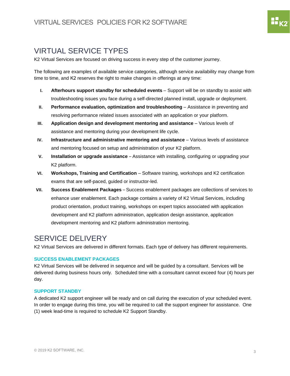# <span id="page-3-0"></span>VIRTUAL SERVICE TYPES

K2 Virtual Services are focused on driving success in every step of the customer journey.

The following are examples of available service categories, although service availability may change from time to time, and K2 reserves the right to make changes in offerings at any time:

- **I. Afterhours support standby for scheduled events** Support will be on standby to assist with troubleshooting issues you face during a self-directed planned install, upgrade or deployment.
- **II. Performance evaluation, optimization and troubleshooting** Assistance in preventing and resolving performance related issues associated with an application or your platform.
- **III. Application design and development mentoring and assistance** Various levels of assistance and mentoring during your development life cycle.
- **IV. Infrastructure and administrative mentoring and assistance**  Various levels of assistance and mentoring focused on setup and administration of your K2 platform.
- **V. Installation or upgrade assistance**  Assistance with installing, configuring or upgrading your K2 platform.
- **VI. Workshops, Training and Certification** Software training, workshops and K2 certification exams that are self-paced, guided or instructor-led.
- **VII. Success Enablement Packages** Success enablement packages are collections of services to enhance user enablement. Each package contains a variety of K2 Virtual Services, including product orientation, product training, workshops on expert topics associated with application development and K2 platform administration, application design assistance, application development mentoring and K2 platform administration mentoring.

# <span id="page-3-1"></span>SERVICE DELIVERY

K2 Virtual Services are delivered in different formats. Each type of delivery has different requirements.

# <span id="page-3-2"></span>**SUCCESS ENABLEMENT PACKAGES**

K2 Virtual Services will be delivered in sequence and will be guided by a consultant. Services will be delivered during business hours only. Scheduled time with a consultant cannot exceed four (4) hours per day.

# <span id="page-3-3"></span>**SUPPORT STANDBY**

A dedicated K2 support engineer will be ready and on call during the execution of your scheduled event. In order to engage during this time, you will be required to call the support engineer for assistance. One (1) week lead-time is required to schedule K2 Support Standby.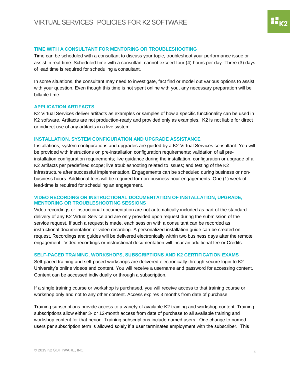# <span id="page-4-0"></span>**TIME WITH A CONSULTANT FOR MENTORING OR TROUBLESHOOTING**

Time can be scheduled with a consultant to discuss your topic, troubleshoot your performance issue or assist in real-time. Scheduled time with a consultant cannot exceed four (4) hours per day. Three (3) days of lead time is required for scheduling a consultant.

In some situations, the consultant may need to investigate, fact find or model out various options to assist with your question. Even though this time is not spent online with you, any necessary preparation will be billable time.

## <span id="page-4-1"></span>**APPLICATION ARTIFACTS**

K2 Virtual Services deliver artifacts as examples or samples of how a specific functionality can be used in K2 software. Artifacts are not production-ready and provided only as examples. K2 is not liable for direct or indirect use of any artifacts in a live system.

## <span id="page-4-2"></span>**INSTALLATION, SYSTEM CONFIGURATION AND UPGRADE ASSISTANCE**

Installations, system configurations and upgrades are guided by a K2 Virtual Services consultant. You will be provided with instructions on pre-installation configuration requirements; validation of all preinstallation configuration requirements; live guidance during the installation, configuration or upgrade of all K2 artifacts per predefined scope; live troubleshooting related to issues; and testing of the K2 infrastructure after successful implementation. Engagements can be scheduled during business or nonbusiness hours. Additional fees will be required for non-business hour engagements. One (1) week of lead-time is required for scheduling an engagement.

#### <span id="page-4-3"></span>**VIDEO RECORDING OR INSTRUCTIONAL DOCUMENTATION OF INSTALLATION, UPGRADE, MENTORING OR TROUBLESHOOTING SESSIONS**

Video recordings or instructional documentation are not automatically included as part of the standard delivery of any K2 Virtual Service and are only provided upon request during the submission of the service request. If such a request is made, each session with a consultant can be recorded as instructional documentation or video recording. A personalized installation guide can be created on request. Recordings and guides will be delivered electronically within two business days after the remote engagement. Video recordings or instructional documentation will incur an additional fee or Credits.

## **SELF-PACED TRAINING, WORKSHOPS, SUBSCRIPTIONS AND K2 CERTIFICATION EXAMS**

<span id="page-4-4"></span>Self-paced training and self-paced workshops are delivered electronically through secure login to K2 University's online videos and content. You will receive a username and password for accessing content. Content can be accessed individually or through a subscription.

If a single training course or workshop is purchased, you will receive access to that training course or workshop only and not to any other content. Access expires 3 months from date of purchase.

Training subscriptions provide access to a variety of available K2 training and workshop content. Training subscriptions allow either 3- or 12-month access from date of purchase to all available training and workshop content for that period. Training subscriptions include named users. One change to named users per subscription term is allowed solely if a user terminates employment with the subscriber. This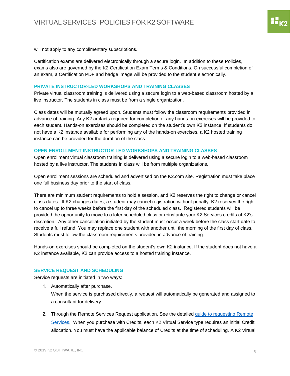88<br>88 K 2

will not apply to any complimentary subscriptions.

Certification exams are delivered electronically through a secure login. In addition to these Policies, exams also are governed by the K2 Certification Exam Terms & Conditions. On successful completion of an exam, a Certification PDF and badge image will be provided to the student electronically.

#### <span id="page-5-0"></span>**PRIVATE INSTRUCTOR-LED WORKSHOPS AND TRAINING CLASSES**

Private virtual classroom training is delivered using a secure login to a web-based classroom hosted by a live instructor. The students in class must be from a single organization.

Class dates will be mutually agreed upon. Students must follow the classroom requirements provided in advance of training. Any K2 artifacts required for completion of any hands-on exercises will be provided to each student. Hands-on exercises should be completed on the student's own K2 instance. If students do not have a K2 instance available for performing any of the hands-on exercises, a K2 hosted training instance can be provided for the duration of the class.

#### <span id="page-5-1"></span>**OPEN ENROLLMENT INSTRUCTOR-LED WORKSHOPS AND TRAINING CLASSES**

Open enrollment virtual classroom training is delivered using a secure login to a web-based classroom hosted by a live instructor. The students in class will be from multiple organizations.

Open enrollment sessions are scheduled and advertised on the K2.com site. Registration must take place one full business day prior to the start of class.

There are minimum student requirements to hold a session, and K2 reserves the right to change or cancel class dates. If K2 changes dates, a student may cancel registration without penalty. K2 reserves the right to cancel up to three weeks before the first day of the scheduled class. Registered students will be provided the opportunity to move to a later scheduled class or reinstante your K2 Services credits at K2's discretion. Any other cancellation initiated by the student must occur a week before the class start date to receive a full refund. You may replace one student with another until the morning of the first day of class. Students must follow the classroom requirements provided in advance of training.

<span id="page-5-2"></span>Hands-on exercises should be completed on the student's own K2 instance. If the student does not have a K2 instance available, K2 can provide access to a hosted training instance.

#### **SERVICE REQUEST AND SCHEDULING**

Service requests are initiated in two ways:

- 1. Automatically after purchase. When the service is purchased directly, a request will automatically be generated and assigned to a consultant for delivery.
- 2. [Through th](https://help.k2.com/remoteservices)e Remote Services Request application. See the detailed guide to requesting Remote Services. When you purchase with Credits, each K2 Virtual Service type requires an initial Credit allocation. You must have the applicable balance of Credits at the time of scheduling. A K2 Virtual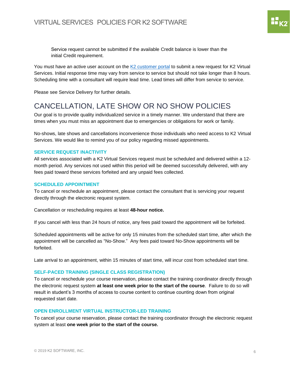Service request cannot be submitted if the available Credit balance is lower than the initial Credit requirement.

You must have an active user account on the [K2 customer portal](https://portal.k2.com/) to submit a new request for K2 Virtual Services. Initial response time may vary from service to service but should not take longer than 8 hours. Scheduling time with a consultant will require lead time. Lead times will differ from service to service.

Please see Service Delivery for further details.

# <span id="page-6-0"></span>CANCELLATION, LATE SHOW OR NO SHOW POLICIES

Our goal is to provide quality individualized service in a timely manner. We understand that there are times when you must miss an appointment due to emergencies or obligations for work or family.

No-shows, late shows and cancellations inconvenience those individuals who need access to K2 Virtual Services. We would like to remind you of our policy regarding missed appointments.

## <span id="page-6-1"></span>**SERVICE REQUEST INACTIVITY**

All services associated with a K2 Virtual Services request must be scheduled and delivered within a 12 month period. Any services not used within this period will be deemed successfully delivered, with any fees paid toward these services forfeited and any unpaid fees collected.

# <span id="page-6-2"></span>**SCHEDULED APPOINTMENT**

To cancel or reschedule an appointment, please contact the consultant that is servicing your request directly through the electronic request system.

Cancellation or rescheduling requires at least **48-hour notice.**

If you cancel with less than 24 hours of notice, any fees paid toward the appointment will be forfeited.

Scheduled appointments will be active for only 15 minutes from the scheduled start time, after which the appointment will be cancelled as "No-Show." Any fees paid toward No-Show appointments will be forfeited.

Late arrival to an appointment, within 15 minutes of start time, will incur cost from scheduled start time.

# <span id="page-6-3"></span>**SELF-PACED TRAINING (SINGLE CLASS REGISTRATION)**

To cancel or reschedule your course reservation, please contact the training coordinator directly through the electronic request system **at least one week prior to the start of the course**. Failure to do so will result in student's 3 months of access to course content to continue counting down from original requested start date.

# <span id="page-6-4"></span>**OPEN ENROLLMENT VIRTUAL INSTRUCTOR-LED TRAINING**

To cancel your course reservation, please contact the training coordinator through the electronic request system at least **one week prior to the start of the course.**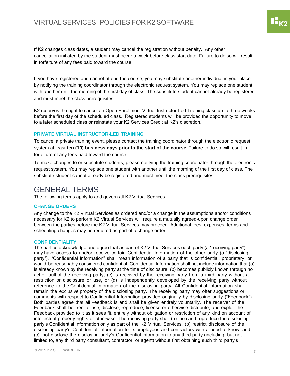# VIRTUAL SERVICES POLICIES FOR K2 SOFTWARE

If K2 changes class dates, a student may cancel the registration without penalty. Any other cancellation initiated by the student must occur a week before class start date. Failure to do so will result in forfeiture of any fees paid toward the course.

If you have registered and cannot attend the course, you may substitute another individual in your place by notifying [the](mailto:training@k2.com) training coordinator through the electronic request system. You may replace one student with another until the morning of the first day of class. The substitute student cannot already be registered and must meet the class prerequisites.

<span id="page-7-0"></span>K2 reserves the right to cancel an Open Enrollment Virtual Instructor-Led Training class up to three weeks before the first day of the scheduled class. Registered students will be provided the opportunity to move to a later scheduled class or reinstate your K2 Services Credit at K2's discretion.

#### **PRIVATE VIRTUAL INSTRUCTOR-LED TRAINING**

To cancel a private training event, please contact the trainin[g co](mailto:training@k2.com)ordinator through the electronic request system at least **ten (10) business days prior to the start of the course.** Failure to do so will result in forfeiture of any fees paid toward the course.

<span id="page-7-1"></span>To make changes to or substitute students, please notifying the training coordinator through the electronic request system. You may replace one student with another until the morning of the first day of class. The substitute student cannot already be registered and must meet the class prerequisites.

# <span id="page-7-2"></span>GENERAL TERMS

The following terms apply to and govern all K2 Virtual Services:

#### **CHANGE ORDERS**

<span id="page-7-3"></span>Any change to the K2 Virtual Services as ordered and/or a change in the assumptions and/or conditions necessary for K2 to perform K2 Virtual Services will require a mutually agreed-upon change order between the parties before the K2 Virtual Services may proceed. Additional fees, expenses, terms and scheduling changes may be required as part of a change order.

#### **CONFIDENTIALITY**

The parties acknowledge and agree that as part of K2 Virtual Services each party (a "receiving party") may have access to and/or receive certain Confidential Information of the other party (a "disclosing party"). "Confidential Information" shall mean information of a party that is confidential, proprietary, or would be reasonably considered confidential. Confidential Information shall not include information that (a) is already known by the receiving party at the time of disclosure, (b) becomes publicly known through no act or fault of the receiving party, (c) is received by the receiving party from a third party without a restriction on disclosure or use, or (d) is independently developed by the receiving party without reference to the Confidential Information of the disclosing party. All Confidential Information shall remain the exclusive property of the disclosing party. The receiving party may offer suggestions or comments with respect to Confidential Information provided originally by disclosing party ("Feedback"). Both parties agree that all Feedback is and shall be given entirely voluntarily. The receiver of the Feedback shall be free to use, disclose, reproduce, license or otherwise distribute, and exploit the Feedback provided to it as it sees fit, entirely without obligation or restriction of any kind on account of intellectual property rights or otherwise. The receiving party shall (a) use and reproduce the disclosing party's Confidential Information only as part of the K2 Virtual Services, (b) restrict disclosure of the disclosing party's Confidential Information to its employees and contractors with a need to know, and (c) not disclose the disclosing party's Confidential Information to any third party (including, but not limited to, any third party consultant, contractor, or agent) without first obtaining such third party's

88<br>88 K 2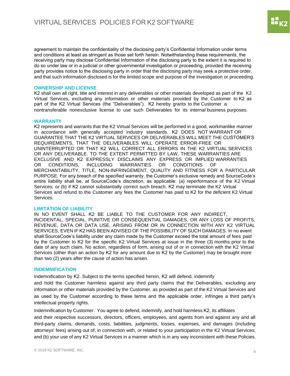<span id="page-8-0"></span>agreement to maintain the confidentiality of the disclosing party's Confidential Information under terms and conditions at least as stringent as those set forth herein. Notwithstanding these requirements, the receiving party may disclose Confidential Information of the disclosing party to the extent it is required to do so under law or in a judicial or other governmental investigation or proceeding, provided the receiving party provides notice to the disclosing party in order that the disclosing party may seek a protective order, and that such information disclosed is for the limited scope and purpose of the investigation or proceeding.

#### **OWNERSHIP AND LICENSE**

<span id="page-8-1"></span>K2 shall own all right, title and interest in any deliverables or other materials developed as part of the K2 Virtual Services, excluding any information or other materials provided by the Customer to K2 as part of the K2 Virtual Services (the "Deliverables"). K2 hereby grants to the Customer a nontransferable nonexclusive license to use such Deliverables for its internal business purposes.

## **WARRANTY**

K2 represents and warrants that the K2 Virtual Services will be performed in a good, workmanlike manner in accordance with generally accepted industry standards. K2 DOES NOT WARRANT OR GUARANTEE THAT THE K2 VIRTUAL SERVICES OR DELIVERABLES WILL MEET THE CUSTOMER'S REQUIREMENTS, THAT THE DELIVERABLES WILL OPERATE ERROR-FREE OR UNINTERRUPTED OR THAT K2 WILL CORRECT ALL ERRORS IN THE K2 VIRTUAL SERVICES OR ANY DELIVERABLE. TO THE EXTENT PERMITTED BY LAW, THESE WARRANTIES ARE EXCLUSIVE AND K2 EXPRESSLY DISCLAIMS ANY EXPRESS OR IMPLIED WARRANTIES OR CONDITIONS, INCLUDING WARRANTIES OR CONDITIONS OF MERCHANTABILITY, TITLE, NON-INFRINGEMENT, QUALITY AND FITNESS FOR A PARTICULAR PURPOSE. For any breach of the specified warranty, the Customer's exclusive remedy and SourceCode's entire liability shall be, at SourceCode's discretion, as applicable: (a) reperformance of the K2 Virtual Services; or (b) if K2 cannot substantially correct such breach, K2 may terminate the K2 Virtual Services and refund to the Customer any fees the Customer has paid to K2 for the deficient K2 Virtual Services.

## <span id="page-8-2"></span>**LIMITATION OF LIABILITY**

IN NO EVENT SHALL K2 BE LIABLE TO THE CUSTOMER FOR ANY INDIRECT, INCIDENTAL, SPECIAL, PUNITIVE OR CONSEQUENTIAL DAMAGES, OR ANY LOSS OF PROFITS, REVENUE, DATA OR DATA USE, ARISING FROM OR IN CONNECTION WITH ANY K2 VIRTUAL SERVICES, EVEN IF K2 HAS BEEN ADVISED OF THE POSSIBILITY OF SUCH DAMAGES. In no event shall SourceCode's liability under any claim made by the Customer exceed the total amount of fees paid by the Customer to K2 for the specific K2 Virtual Services at issue in the three (3) months prior to the date of any such claim. No action, regardless of form, arising out of or in connection with the K2 Virtual Services (other than an action by K2 for any amount due to K2 by the Customer) may be brought more than two (2) years after the cause of action has arisen.

#### <span id="page-8-3"></span>**INDEMNIFICATION**

Indemnification by K2. Subject to the terms specified herein, K2 will defend, indemnify

and hold the Customer harmless against any third party claims that the Deliverables, excluding any information or other materials provided by the Customer, as provided as part of the K2 Virtual Services and as used by the Customer according to these terms and the applicable order, infringes a third party's intellectual property rights.

Indemnification by Customer. You agree to defend, indemnify, and hold harmless K2, its affiliates and their respective successors, directors, officers, employees, and agents from and against any and all third-party claims, demands, costs, liabilities, judgments, losses, expenses, and damages (including attorneys' fees) arising out of, in connection with, or related to your participation in the K2 Virtual Services; and (b) your use of any K2 Virtual Services in a manner which is in any way inconsistent with these Policies.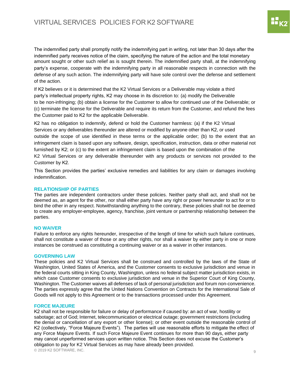The indemnified party shall promptly notify the indemnifying part in writing, not later than 30 days after the indemnified party receives notice of the claim, specifying the nature of the action and the total monetary amount sought or other such relief as is sought therein. The indemnified party shall, at the indemnifying party's expense, cooperate with the indemnifying party in all reasonable respects in connection with the defense of any such action. The indemnifying party will have sole control over the defense and settlement of the action.

If K2 believes or it is determined that the K2 Virtual Services or a Deliverable may violate a third party's intellectual property rights, K2 may choose in its discretion to: (a) modify the Deliverable to be non-infringing; (b) obtain a license for the Customer to allow for continued use of the Deliverable; or (c) terminate the license for the Deliverable and require its return from the Customer, and refund the fees the Customer paid to K2 for the applicable Deliverable.

K2 has no obligation to indemnify, defend or hold the Customer harmless: (a) if the K2 Virtual Services or any deliverables thereunder are altered or modified by anyone other than K2, or used outside the scope of use identified in these terms or the applicable order; (b) to the extent that an infringement claim is based upon any software, design, specification, instruction, data or other material not furnished by K2; or (c) to the extent an infringement claim is based upon the combination of the K2 Virtual Services or any deliverable thereunder with any products or services not provided to the Customer by K2.

<span id="page-9-0"></span>This Section provides the parties' exclusive remedies and liabilities for any claim or damages involving indemnification.

#### **RELATIONSHIP OF PARTIES**

<span id="page-9-1"></span>The parties are independent contractors under these policies. Neither party shall act, and shall not be deemed as, an agent for the other, nor shall either party have any right or power hereunder to act for or to bind the other in any respect. Notwithstanding anything to the contrary, these policies shall not be deemed to create any employer-employee, agency, franchise, joint venture or partnership relationship between the parties.

#### **NO WAIVER**

<span id="page-9-2"></span>Failure to enforce any rights hereunder, irrespective of the length of time for which such failure continues, shall not constitute a waiver of those or any other rights, nor shall a waiver by either party in one or more instances be construed as constituting a continuing waiver or as a waiver in other instances.

#### **GOVERNING LAW**

These policies and K2 Virtual Services shall be construed and controlled by the laws of the State of Washington, United States of America, and the Customer consents to exclusive jurisdiction and venue in the federal courts sitting in King County, Washington, unless no federal subject matter jurisdiction exists, in which case Customer consents to exclusive jurisdiction and venue in the Superior Court of King County, Washington. The Customer waives all defenses of lack of personal jurisdiction and forum non-convenience. The parties expressly agree that the United Nations Convention on Contracts for the International Sale of Goods will not apply to this Agreement or to the transactions processed under this Agreement.

#### <span id="page-9-3"></span>**FORCE MAJEURE**

© 2019 K2 SOFTWARE, INC. 9 K2 shall not be responsible for failure or delay of performance if caused by: an act of war, hostility or sabotage; act of God; Internet, telecommunication or electrical outage; government restrictions (including the denial or cancellation of any export or other license); or other event outside the reasonable control of K2 (collectively, "Force Majeure Events"). The parties will use reasonable efforts to mitigate the effect of any Force Majeure Events. If such Force Majeure Event continues for more than 90 days, either party may cancel unperformed services upon written notice. This Section does not excuse the Customer's obligation to pay for K2 Virtual Services as may have already been provided.